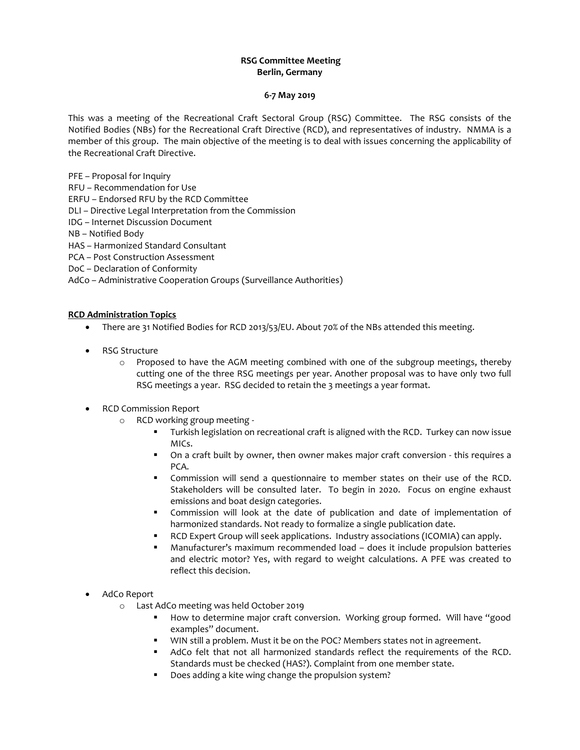# **RSG Committee Meeting Berlin, Germany**

#### **6-7 May 2019**

This was a meeting of the Recreational Craft Sectoral Group (RSG) Committee. The RSG consists of the Notified Bodies (NBs) for the Recreational Craft Directive (RCD), and representatives of industry. NMMA is a member of this group. The main objective of the meeting is to deal with issues concerning the applicability of the Recreational Craft Directive.

PFE – Proposal for Inquiry

RFU – Recommendation for Use

ERFU – Endorsed RFU by the RCD Committee

DLI – Directive Legal Interpretation from the Commission

IDG – Internet Discussion Document

NB – Notified Body

HAS – Harmonized Standard Consultant

PCA – Post Construction Assessment

DoC – Declaration of Conformity

AdCo – Administrative Cooperation Groups (Surveillance Authorities)

## **RCD Administration Topics**

- There are 31 Notified Bodies for RCD 2013/53/EU. About 70% of the NBs attended this meeting.
- RSG Structure
	- $\circ$  Proposed to have the AGM meeting combined with one of the subgroup meetings, thereby cutting one of the three RSG meetings per year. Another proposal was to have only two full RSG meetings a year. RSG decided to retain the 3 meetings a year format.
- RCD Commission Report
	- o RCD working group meeting
		- Turkish legislation on recreational craft is aligned with the RCD. Turkey can now issue MICs.
		- On a craft built by owner, then owner makes major craft conversion this requires a PCA.
		- Commission will send a questionnaire to member states on their use of the RCD. Stakeholders will be consulted later. To begin in 2020. Focus on engine exhaust emissions and boat design categories.
		- Commission will look at the date of publication and date of implementation of harmonized standards. Not ready to formalize a single publication date.
		- RCD Expert Group will seek applications. Industry associations (ICOMIA) can apply.
		- Manufacturer's maximum recommended load does it include propulsion batteries and electric motor? Yes, with regard to weight calculations. A PFE was created to reflect this decision.
- AdCo Report
	- o Last AdCo meeting was held October 2019
		- How to determine major craft conversion. Working group formed. Will have "good examples" document.
		- **WIN still a problem.** Must it be on the POC? Members states not in agreement.
		- AdCo felt that not all harmonized standards reflect the requirements of the RCD. Standards must be checked (HAS?). Complaint from one member state.
		- Does adding a kite wing change the propulsion system?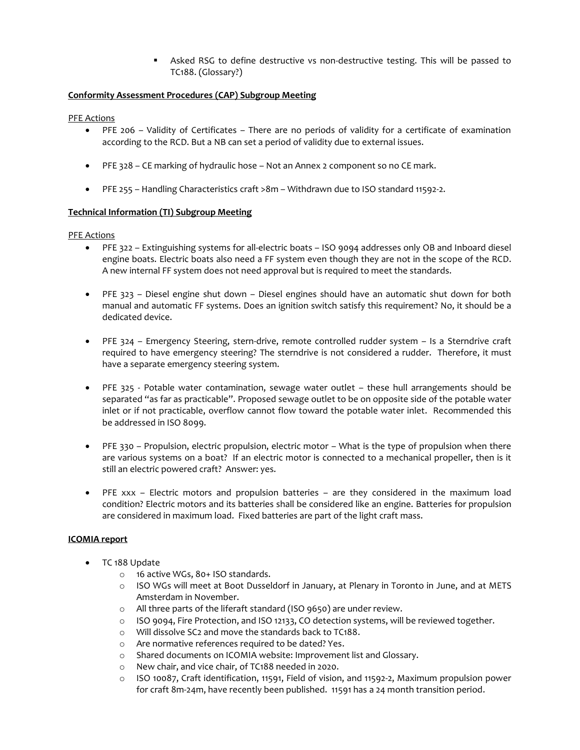Asked RSG to define destructive vs non-destructive testing. This will be passed to TC188. (Glossary?)

#### **Conformity Assessment Procedures (CAP) Subgroup Meeting**

PFE Actions

- PFE 206 Validity of Certificates There are no periods of validity for a certificate of examination according to the RCD. But a NB can set a period of validity due to external issues.
- PFE 328 CE marking of hydraulic hose Not an Annex 2 component so no CE mark.
- PFE 255 Handling Characteristics craft >8m Withdrawn due to ISO standard 11592-2.

## **Technical Information (TI) Subgroup Meeting**

PFE Actions

- PFE 322 Extinguishing systems for all-electric boats ISO 9094 addresses only OB and Inboard diesel engine boats. Electric boats also need a FF system even though they are not in the scope of the RCD. A new internal FF system does not need approval but is required to meet the standards.
- PFE 323 Diesel engine shut down Diesel engines should have an automatic shut down for both manual and automatic FF systems. Does an ignition switch satisfy this requirement? No, it should be a dedicated device.
- PFE 324 Emergency Steering, stern-drive, remote controlled rudder system Is a Sterndrive craft required to have emergency steering? The sterndrive is not considered a rudder. Therefore, it must have a separate emergency steering system.
- PFE 325 Potable water contamination, sewage water outlet these hull arrangements should be separated "as far as practicable". Proposed sewage outlet to be on opposite side of the potable water inlet or if not practicable, overflow cannot flow toward the potable water inlet. Recommended this be addressed in ISO 8099.
- PFE 330 Propulsion, electric propulsion, electric motor What is the type of propulsion when there are various systems on a boat? If an electric motor is connected to a mechanical propeller, then is it still an electric powered craft? Answer: yes.
- PFE xxx Electric motors and propulsion batteries are they considered in the maximum load condition? Electric motors and its batteries shall be considered like an engine. Batteries for propulsion are considered in maximum load. Fixed batteries are part of the light craft mass.

## **ICOMIA report**

- TC 188 Update
	- o 16 active WGs, 80+ ISO standards.
	- o ISO WGs will meet at Boot Dusseldorf in January, at Plenary in Toronto in June, and at METS Amsterdam in November.
	- o All three parts of the liferaft standard (ISO 9650) are under review.
	- o ISO 9094, Fire Protection, and ISO 12133, CO detection systems, will be reviewed together.
	- o Will dissolve SC2 and move the standards back to TC188.
	- o Are normative references required to be dated? Yes.
	- o Shared documents on ICOMIA website: Improvement list and Glossary.
	- o New chair, and vice chair, of TC188 needed in 2020.
	- o ISO 10087, Craft identification, 11591, Field of vision, and 11592-2, Maximum propulsion power for craft 8m-24m, have recently been published. 11591 has a 24 month transition period.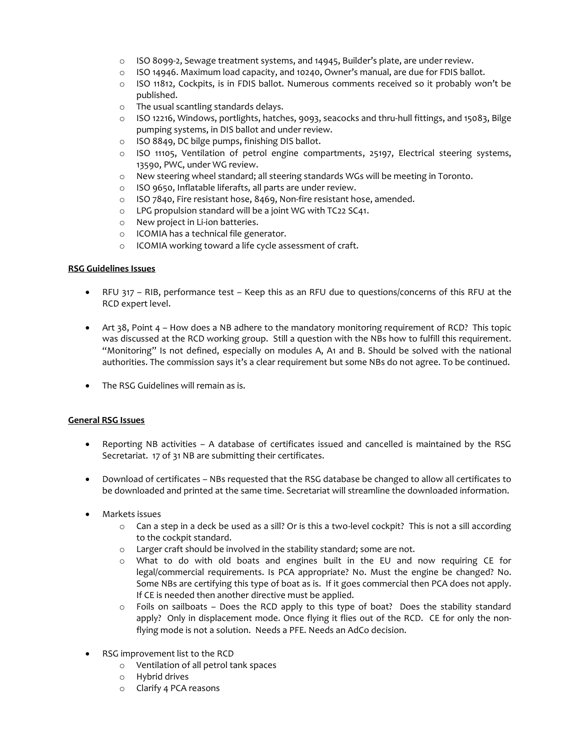- o ISO 8099-2, Sewage treatment systems, and 14945, Builder's plate, are under review.
- $\circ$  ISO 14946. Maximum load capacity, and 10240, Owner's manual, are due for FDIS ballot.
- o ISO 11812, Cockpits, is in FDIS ballot. Numerous comments received so it probably won't be published.
- o The usual scantling standards delays.
- o ISO 12216, Windows, portlights, hatches, 9093, seacocks and thru-hull fittings, and 15083, Bilge pumping systems, in DIS ballot and under review.
- o ISO 8849, DC bilge pumps, finishing DIS ballot.
- o ISO 11105, Ventilation of petrol engine compartments, 25197, Electrical steering systems, 13590, PWC, under WG review.
- o New steering wheel standard; all steering standards WGs will be meeting in Toronto.
- o ISO 9650, Inflatable liferafts, all parts are under review.
- o ISO 7840, Fire resistant hose, 8469, Non-fire resistant hose, amended.
- o LPG propulsion standard will be a joint WG with TC22 SC41.
- o New project in Li-ion batteries.
- o ICOMIA has a technical file generator.
- o ICOMIA working toward a life cycle assessment of craft.

## **RSG Guidelines Issues**

- RFU 317 RIB, performance test Keep this as an RFU due to questions/concerns of this RFU at the RCD expert level.
- Art 38, Point 4 How does a NB adhere to the mandatory monitoring requirement of RCD? This topic was discussed at the RCD working group. Still a question with the NBs how to fulfill this requirement. "Monitoring" Is not defined, especially on modules A, A1 and B. Should be solved with the national authorities. The commission says it's a clear requirement but some NBs do not agree. To be continued.
- The RSG Guidelines will remain as is.

## **General RSG Issues**

- Reporting NB activities A database of certificates issued and cancelled is maintained by the RSG Secretariat. 17 of 31 NB are submitting their certificates.
- Download of certificates NBs requested that the RSG database be changed to allow all certificates to be downloaded and printed at the same time. Secretariat will streamline the downloaded information.
- Markets issues
	- o Can a step in a deck be used as a sill? Or is this a two-level cockpit? This is not a sill according to the cockpit standard.
	- o Larger craft should be involved in the stability standard; some are not.
	- o What to do with old boats and engines built in the EU and now requiring CE for legal/commercial requirements. Is PCA appropriate? No. Must the engine be changed? No. Some NBs are certifying this type of boat as is. If it goes commercial then PCA does not apply. If CE is needed then another directive must be applied.
	- o Foils on sailboats Does the RCD apply to this type of boat? Does the stability standard apply? Only in displacement mode. Once flying it flies out of the RCD. CE for only the nonflying mode is not a solution. Needs a PFE. Needs an AdCo decision.
- RSG improvement list to the RCD
	- o Ventilation of all petrol tank spaces
	- o Hybrid drives
	- o Clarify 4 PCA reasons